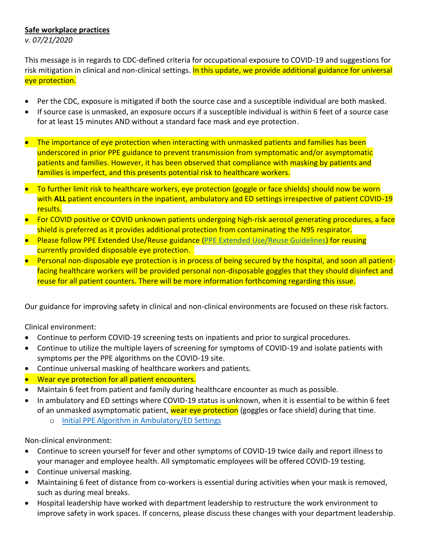## **Safe workplace practices**

*v. 07/21/2020*

This message is in regards to CDC-defined criteria for occupational exposure to COVID-19 and suggestions for risk mitigation in clinical and non-clinical settings. In this update, we provide additional guidance for universal eye protection.

- Per the CDC, exposure is mitigated if both the source case and a susceptible individual are both masked.
- If source case is unmasked, an exposure occurs if a susceptible individual is within 6 feet of a source case for at least 15 minutes AND without a standard face mask and eye protection.
- The importance of eye protection when interacting with unmasked patients and families has been underscored in prior PPE guidance to prevent transmission from symptomatic and/or asymptomatic patients and families. However, it has been observed that compliance with masking by patients and families is imperfect, and this presents potential risk to healthcare workers.
- To further limit risk to healthcare workers, eye protection (goggle or face shields) should now be worn with ALL patient encounters in the inpatient, ambulatory and ED settings irrespective of patient COVID-19 results.
- For COVID positive or COVID unknown patients undergoing high-risk aerosol generating procedures, a face shield is preferred as it provides additional protection from contaminating the N95 respirator.
- Please follow PPE Extended Use/Reuse guidance [\(PPE Extended Use/Reuse Guidelines\)](https://www.luriechildrens.org/globalassets/media/pages/covid-19/ppereuse_extendeduse_n95_eyeprotection_guidelines_april14.pdf) for reusing currently provided disposable eye protection.
- Personal non-disposable eye protection is in process of being secured by the hospital, and soon all patientfacing healthcare workers will be provided personal non-disposable goggles that they should disinfect and reuse for all patient counters. There will be more information forthcoming regarding this issue.

Our guidance for improving safety in clinical and non-clinical environments are focused on these risk factors.

Clinical environment:

- Continue to perform COVID-19 screening tests on inpatients and prior to surgical procedures.
- Continue to utilize the multiple layers of screening for symptoms of COVID-19 and isolate patients with symptoms per the PPE algorithms on the COVID-19 site.
- Continue universal masking of healthcare workers and patients.
- Wear eye protection for all patient encounters.
- Maintain 6 feet from patient and family during healthcare encounter as much as possible.
- In ambulatory and ED settings where COVID-19 status is unknown, when it is essential to be within 6 feet of an unmasked asymptomatic patient, wear eye protection (goggles or face shield) during that time.
	- o [Initial PPE Algorithm in Ambulatory/ED Settings](https://www.luriechildrens.org/globalassets/media/pages/covid-19/ppeuse_ambulatory_06-05-2020.pdf)

Non-clinical environment:

- Continue to screen yourself for fever and other symptoms of COVID-19 twice daily and report illness to your manager and employee health. All symptomatic employees will be offered COVID-19 testing.
- Continue universal masking.
- Maintaining 6 feet of distance from co-workers is essential during activities when your mask is removed, such as during meal breaks.
- Hospital leadership have worked with department leadership to restructure the work environment to improve safety in work spaces. If concerns, please discuss these changes with your department leadership.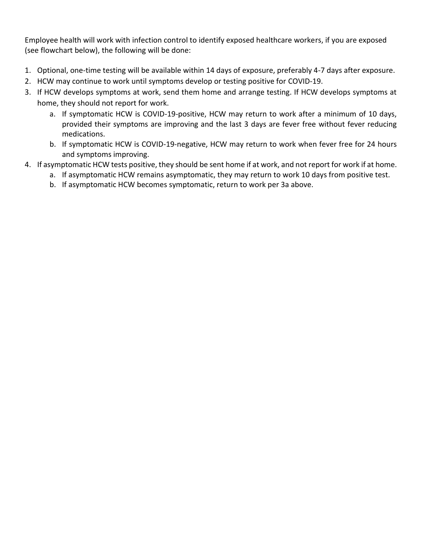Employee health will work with infection control to identify exposed healthcare workers, if you are exposed (see flowchart below), the following will be done:

- 1. Optional, one-time testing will be available within 14 days of exposure, preferably 4-7 days after exposure.
- 2. HCW may continue to work until symptoms develop or testing positive for COVID-19.
- 3. If HCW develops symptoms at work, send them home and arrange testing. If HCW develops symptoms at home, they should not report for work.
	- a. If symptomatic HCW is COVID-19-positive, HCW may return to work after a minimum of 10 days, provided their symptoms are improving and the last 3 days are fever free without fever reducing medications.
	- b. If symptomatic HCW is COVID-19-negative, HCW may return to work when fever free for 24 hours and symptoms improving.
- 4. If asymptomatic HCW tests positive, they should be sent home if at work, and not report for work if at home.
	- a. If asymptomatic HCW remains asymptomatic, they may return to work 10 days from positive test.
	- b. If asymptomatic HCW becomes symptomatic, return to work per 3a above.